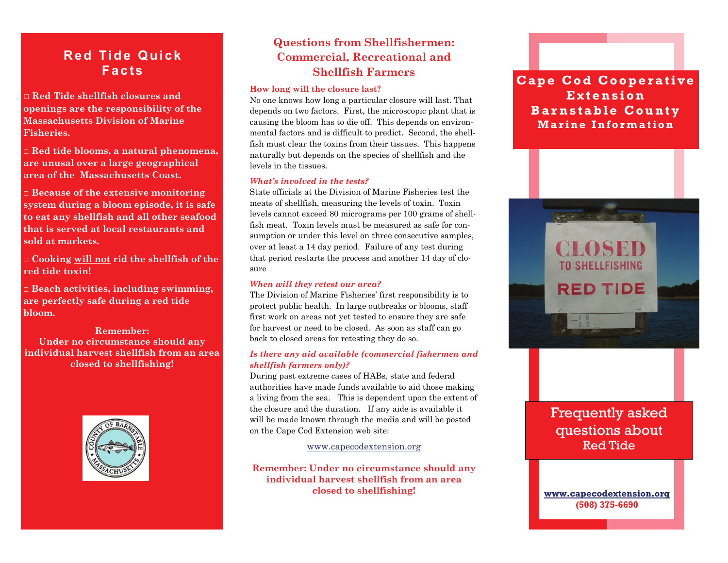# **Red Tide Quick Facts**

□ **Red Tide shellfish closures and openings are the responsibility of the Massachusetts Division of Marine Fisheries.** 

□ **Red tide blooms, a natural phenomena, are unusal over a large geographical area of the Massachusetts Coast.** 

□ **Because of the extensive monitoring system during a bloom episode, it is safe to eat any shellfish and all other seafood that is served at local restaurants and sold at markets.** 

**□ Cooking will not rid the shellfish of the red tide toxin!** 

□ **Beach activities, including swimming, are perfectly safe during a red tide bloom.** 

**Remember: Under no circumstance should any individual harvest shellfish from an area closed to shellfishing!** 



## **Questions from Shellfishermen: Commercial, Recreational and Shellfish Farmers**

### **How long will the closure last?**

No one knows how long a particular closure will last. That depends on two factors. First, the microscopic plant that is causing the bloom has to die off. This depends on environmental factors and is difficult to predict. Second, the shellfish must clear the toxins from their tissues. This happens naturally but depends on the species of shellfish and the levels in the tissues.

#### *What's involved in the tests?*

State officials at the Division of Marine Fisheries test the meats of shellfish, measuring the levels of toxin. Toxin levels cannot exceed 80 micrograms per 100 grams of shellfish meat. Toxin levels must be measured as safe for consumption or under this level on three consecutive samples, over at least a 14 day period. Failure of any test during that period restarts the process and another 14 day of closure

#### *When will they retest our area?*

The Division of Marine Fisheries' first responsibility is to protect public health. In large outbreaks or blooms, staff first work on areas not yet tested to ensure they are safe for harvest or need to be closed. As soon as staff can go back to closed areas for retesting they do so.

#### *Is there any aid available (commercial fishermen and shellfish farmers only)?*

During past extreme cases of HABs, state and federal authorities have made funds available to aid those making a living from the sea. This is dependent upon the extent of the closure and the duration. If any aide is available it will be made known through the media and will be posted on the Cape Cod Extension web site:

#### [www.capecodextension.org](http://www.capecodextension.org)

**Remember: Under no circumstance should any individual harvest shellfish from an area closed to shellfishing!** 

## **Cape Cod Cooperative Extension Barnstable County Marine Information**



# Frequently asked questions about Red Tide

**[www.capecodextension.org](http://www.capecodextension.org) (508) 375-6690**